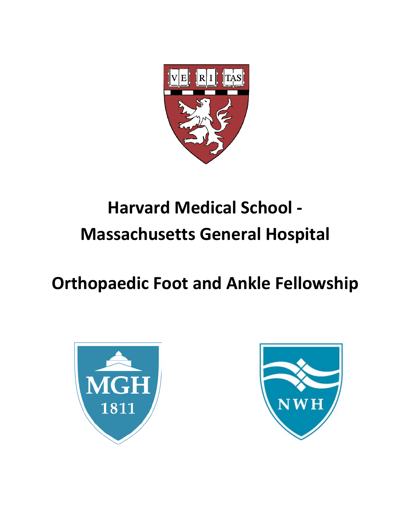

# **Harvard Medical School - Massachusetts General Hospital**

# **Orthopaedic Foot and Ankle Fellowship**



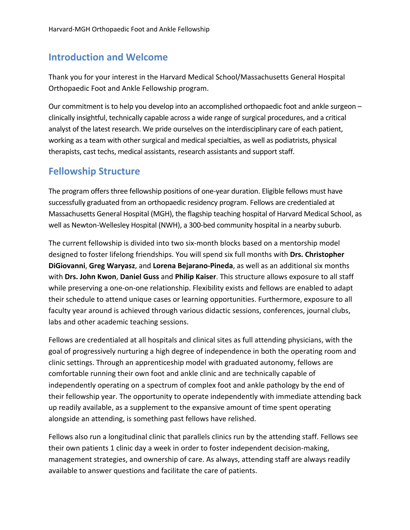# **Introduction and Welcome**

Thank you for your interest in the Harvard Medical School/Massachusetts General Hospital Orthopaedic Foot and Ankle Fellowship program.

Our commitment is to help you develop into an accomplished orthopaedic foot and ankle surgeon – clinically insightful, technically capable across a wide range of surgical procedures, and a critical analyst of the latest research. We pride ourselves on the interdisciplinary care of each patient, working as a team with other surgical and medical specialties, as well as podiatrists, physical therapists, cast techs, medical assistants, research assistants and support staff.

# **Fellowship Structure**

The program offers three fellowship positions of one-year duration. Eligible fellows must have successfully graduated from an orthopaedic residency program. Fellows are credentialed at Massachusetts General Hospital (MGH), the flagship teaching hospital of Harvard Medical School, as well as Newton-Wellesley Hospital (NWH), a 300-bed community hospital in a nearby suburb.

The current fellowship is divided into two six-month blocks based on a mentorship model designed to foster lifelong friendships. You will spend six full months with **Drs. Christopher DiGiovanni**, **Greg Waryasz**, and **Lorena Bejarano-Pineda**, as well as an additional six months with **Drs. John Kwon**, **Daniel Guss** and **Philip Kaiser**. This structure allows exposure to all staff while preserving a one-on-one relationship. Flexibility exists and fellows are enabled to adapt their schedule to attend unique cases or learning opportunities. Furthermore, exposure to all faculty year around is achieved through various didactic sessions, conferences, journal clubs, labs and other academic teaching sessions.

Fellows are credentialed at all hospitals and clinical sites as full attending physicians, with the goal of progressively nurturing a high degree of independence in both the operating room and clinic settings. Through an apprenticeship model with graduated autonomy, fellows are comfortable running their own foot and ankle clinic and are technically capable of independently operating on a spectrum of complex foot and ankle pathology by the end of their fellowship year. The opportunity to operate independently with immediate attending back up readily available, as a supplement to the expansive amount of time spent operating alongside an attending, is something past fellows have relished.

Fellows also run a longitudinal clinic that parallels clinics run by the attending staff. Fellows see their own patients 1 clinic day a week in order to foster independent decision-making, management strategies, and ownership of care. As always, attending staff are always readily available to answer questions and facilitate the care of patients.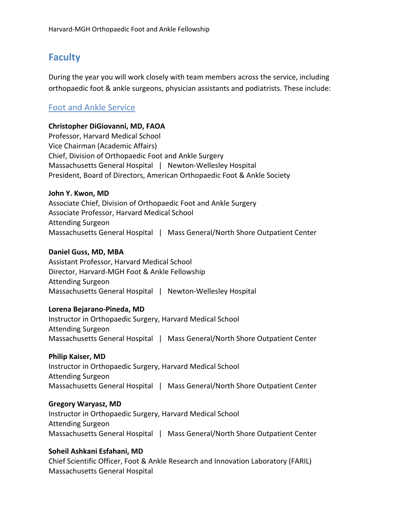# **Faculty**

During the year you will work closely with team members across the service, including orthopaedic foot & ankle surgeons, physician assistants and podiatrists. These include:

## Foot and Ankle Service

#### **Christopher DiGiovanni, MD, FAOA**

Professor, Harvard Medical School Vice Chairman (Academic Affairs) Chief, Division of Orthopaedic Foot and Ankle Surgery Massachusetts General Hospital | Newton-Wellesley Hospital President, Board of Directors, American Orthopaedic Foot & Ankle Society

#### **John Y. Kwon, MD**

Associate Chief, Division of Orthopaedic Foot and Ankle Surgery Associate Professor, Harvard Medical School Attending Surgeon Massachusetts General Hospital | Mass General/North Shore Outpatient Center

#### **Daniel Guss, MD, MBA**

Assistant Professor, Harvard Medical School Director, Harvard-MGH Foot & Ankle Fellowship Attending Surgeon Massachusetts General Hospital | Newton-Wellesley Hospital

#### **Lorena Bejarano-Pineda, MD**

Instructor in Orthopaedic Surgery, Harvard Medical School Attending Surgeon Massachusetts General Hospital | Mass General/North Shore Outpatient Center

# **Philip Kaiser, MD** Instructor in Orthopaedic Surgery, Harvard Medical School

Attending Surgeon Massachusetts General Hospital | Mass General/North Shore Outpatient Center

## **Gregory Waryasz, MD**

Instructor in Orthopaedic Surgery, Harvard Medical School Attending Surgeon Massachusetts General Hospital | Mass General/North Shore Outpatient Center

## **Soheil Ashkani Esfahani, MD**

Chief Scientific Officer, Foot & Ankle Research and Innovation Laboratory (FARIL) Massachusetts General Hospital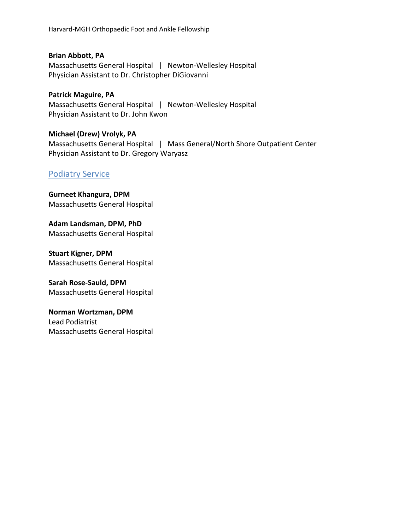Harvard-MGH Orthopaedic Foot and Ankle Fellowship

**Brian Abbott, PA** Massachusetts General Hospital | Newton-Wellesley Hospital Physician Assistant to Dr. Christopher DiGiovanni

**Patrick Maguire, PA** Massachusetts General Hospital | Newton-Wellesley Hospital Physician Assistant to Dr. John Kwon

**Michael (Drew) Vrolyk, PA** Massachusetts General Hospital | Mass General/North Shore Outpatient Center Physician Assistant to Dr. Gregory Waryasz

## Podiatry Service

**Gurneet Khangura, DPM** Massachusetts General Hospital

**Adam Landsman, DPM, PhD** Massachusetts General Hospital

**Stuart Kigner, DPM** Massachusetts General Hospital

**Sarah Rose-Sauld, DPM** Massachusetts General Hospital

**Norman Wortzman, DPM** Lead Podiatrist Massachusetts General Hospital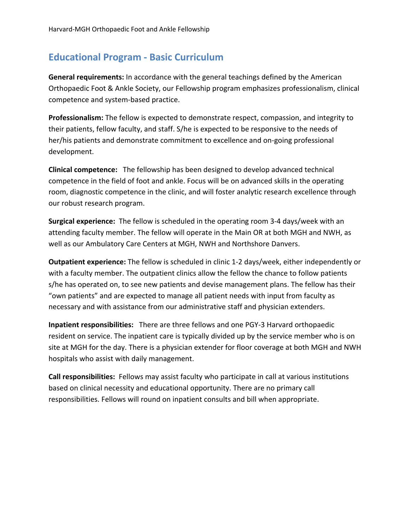# **Educational Program - Basic Curriculum**

**General requirements:** In accordance with the general teachings defined by the American Orthopaedic Foot & Ankle Society, our Fellowship program emphasizes professionalism, clinical competence and system-based practice.

**Professionalism:** The fellow is expected to demonstrate respect, compassion, and integrity to their patients, fellow faculty, and staff. S/he is expected to be responsive to the needs of her/his patients and demonstrate commitment to excellence and on-going professional development.

**Clinical competence:** The fellowship has been designed to develop advanced technical competence in the field of foot and ankle. Focus will be on advanced skills in the operating room, diagnostic competence in the clinic, and will foster analytic research excellence through our robust research program.

**Surgical experience:** The fellow is scheduled in the operating room 3-4 days/week with an attending faculty member. The fellow will operate in the Main OR at both MGH and NWH, as well as our Ambulatory Care Centers at MGH, NWH and Northshore Danvers.

**Outpatient experience:** The fellow is scheduled in clinic 1-2 days/week, either independently or with a faculty member. The outpatient clinics allow the fellow the chance to follow patients s/he has operated on, to see new patients and devise management plans. The fellow has their "own patients" and are expected to manage all patient needs with input from faculty as necessary and with assistance from our administrative staff and physician extenders.

**Inpatient responsibilities:** There are three fellows and one PGY-3 Harvard orthopaedic resident on service. The inpatient care is typically divided up by the service member who is on site at MGH for the day. There is a physician extender for floor coverage at both MGH and NWH hospitals who assist with daily management.

**Call responsibilities:** Fellows may assist faculty who participate in call at various institutions based on clinical necessity and educational opportunity. There are no primary call responsibilities. Fellows will round on inpatient consults and bill when appropriate.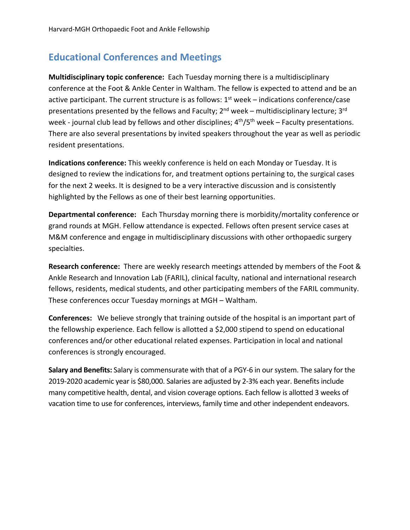# **Educational Conferences and Meetings**

**Multidisciplinary topic conference:** Each Tuesday morning there is a multidisciplinary conference at the Foot & Ankle Center in Waltham. The fellow is expected to attend and be an active participant. The current structure is as follows:  $1<sup>st</sup>$  week – indications conference/case presentations presented by the fellows and Faculty;  $2^{nd}$  week – multidisciplinary lecture;  $3^{rd}$ week - journal club lead by fellows and other disciplines;  $4<sup>th</sup>/5<sup>th</sup>$  week – Faculty presentations. There are also several presentations by invited speakers throughout the year as well as periodic resident presentations.

**Indications conference:** This weekly conference is held on each Monday or Tuesday. It is designed to review the indications for, and treatment options pertaining to, the surgical cases for the next 2 weeks. It is designed to be a very interactive discussion and is consistently highlighted by the Fellows as one of their best learning opportunities.

**Departmental conference:** Each Thursday morning there is morbidity/mortality conference or grand rounds at MGH. Fellow attendance is expected. Fellows often present service cases at M&M conference and engage in multidisciplinary discussions with other orthopaedic surgery specialties.

**Research conference:** There are weekly research meetings attended by members of the Foot & Ankle Research and Innovation Lab (FARIL), clinical faculty, national and international research fellows, residents, medical students, and other participating members of the FARIL community. These conferences occur Tuesday mornings at MGH – Waltham.

**Conferences:** We believe strongly that training outside of the hospital is an important part of the fellowship experience. Each fellow is allotted a \$2,000 stipend to spend on educational conferences and/or other educational related expenses. Participation in local and national conferences is strongly encouraged.

**Salary and Benefits:** Salary is commensurate with that of a PGY-6 in our system. The salary for the 2019-2020 academic year is \$80,000. Salaries are adjusted by 2-3% each year. Benefits include many competitive health, dental, and vision coverage options. Each fellow is allotted 3 weeks of vacation time to use for conferences, interviews, family time and other independent endeavors.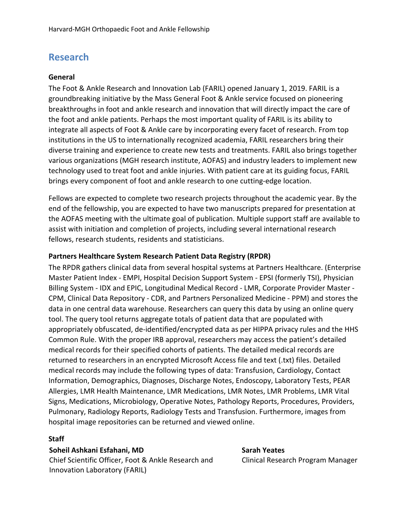# **Research**

#### **General**

The Foot & Ankle Research and Innovation Lab (FARIL) opened January 1, 2019. FARIL is a groundbreaking initiative by the Mass General Foot & Ankle service focused on pioneering breakthroughs in foot and ankle research and innovation that will directly impact the care of the foot and ankle patients. Perhaps the most important quality of FARIL is its ability to integrate all aspects of Foot & Ankle care by incorporating every facet of research. From top institutions in the US to internationally recognized academia, FARIL researchers bring their diverse training and experience to create new tests and treatments. FARIL also brings together various organizations (MGH research institute, AOFAS) and industry leaders to implement new technology used to treat foot and ankle injuries. With patient care at its guiding focus, FARIL brings every component of foot and ankle research to one cutting-edge location.

Fellows are expected to complete two research projects throughout the academic year. By the end of the fellowship, you are expected to have two manuscripts prepared for presentation at the AOFAS meeting with the ultimate goal of publication. Multiple support staff are available to assist with initiation and completion of projects, including several international research fellows, research students, residents and statisticians.

#### **Partners Healthcare System Research Patient Data Registry (RPDR)**

The RPDR gathers clinical data from several hospital systems at Partners Healthcare. (Enterprise Master Patient Index - EMPI, Hospital Decision Support System - EPSI (formerly TSI), Physician Billing System - IDX and EPIC, Longitudinal Medical Record - LMR, Corporate Provider Master - CPM, Clinical Data Repository - CDR, and Partners Personalized Medicine - PPM) and stores the data in one central data warehouse. Researchers can query this data by using an online query tool. The query tool returns aggregate totals of patient data that are populated with appropriately obfuscated, de-identified/encrypted data as per HIPPA privacy rules and the HHS Common Rule. With the proper IRB approval, researchers may access the patient's detailed medical records for their specified cohorts of patients. The detailed medical records are returned to researchers in an encrypted Microsoft Access file and text (.txt) files. Detailed medical records may include the following types of data: Transfusion, Cardiology, Contact Information, Demographics, Diagnoses, Discharge Notes, Endoscopy, Laboratory Tests, PEAR Allergies, LMR Health Maintenance, LMR Medications, LMR Notes, LMR Problems, LMR Vital Signs, Medications, Microbiology, Operative Notes, Pathology Reports, Procedures, Providers, Pulmonary, Radiology Reports, Radiology Tests and Transfusion. Furthermore, images from hospital image repositories can be returned and viewed online.

#### **Staff**

**Soheil Ashkani Esfahani, MD Sarah Yeates** Chief Scientific Officer, Foot & Ankle Research and Innovation Laboratory (FARIL)

Clinical Research Program Manager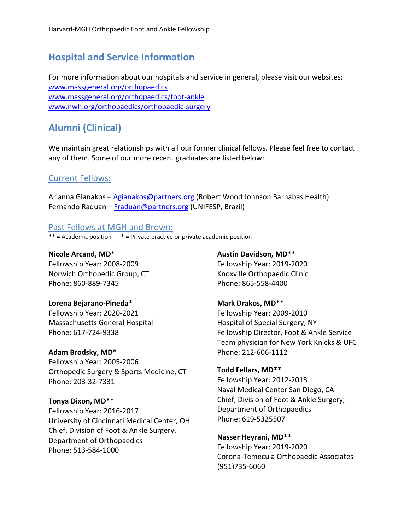# **Hospital and Service Information**

For more information about our hospitals and service in general, please visit our websites: www.massgeneral.org/orthopaedics www.massgeneral.org/orthopaedics/foot-ankle www.nwh.org/orthopaedics/orthopaedic-surgery

# **Alumni (Clinical)**

We maintain great relationships with all our former clinical fellows. Please feel free to contact any of them. Some of our more recent graduates are listed below:

## Current Fellows:

Arianna Gianakos – Agianakos@partners.org (Robert Wood Johnson Barnabas Health) Fernando Raduan – Fraduan@partners.org (UNIFESP, Brazil)

#### Past Fellows at MGH and Brown:

 $**$  = Academic position  $*$  = Private practice or private academic position

**Nicole Arcand, MD\*** Fellowship Year: 2008-2009 Norwich Orthopedic Group, CT Phone: 860-889-7345

#### **Lorena Bejarano-Pineda\***

Fellowship Year: 2020-2021 Massachusetts General Hospital Phone: 617-724-9338

#### **Adam Brodsky, MD\***

Fellowship Year: 2005-2006 Orthopedic Surgery & Sports Medicine, CT Phone: 203-32-7331

#### **Tonya Dixon, MD\*\***

Fellowship Year: 2016-2017 University of Cincinnati Medical Center, OH Chief, Division of Foot & Ankle Surgery, Department of Orthopaedics Phone: 513-584-1000

**Austin Davidson, MD\*\*** Fellowship Year: 2019-2020 Knoxville Orthopaedic Clinic Phone: 865-558-4400

## **Mark Drakos, MD\*\***

Fellowship Year: 2009-2010 Hospital of Special Surgery, NY Fellowship Director, Foot & Ankle Service Team physician for New York Knicks & UFC Phone: 212-606-1112

#### **Todd Fellars, MD\*\***

Fellowship Year: 2012-2013 Naval Medical Center San Diego, CA Chief, Division of Foot & Ankle Surgery, Department of Orthopaedics Phone: 619-5325507

#### **Nasser Heyrani, MD\*\***

Fellowship Year: 2019-2020 Corona-Temecula Orthopaedic Associates (951)735-6060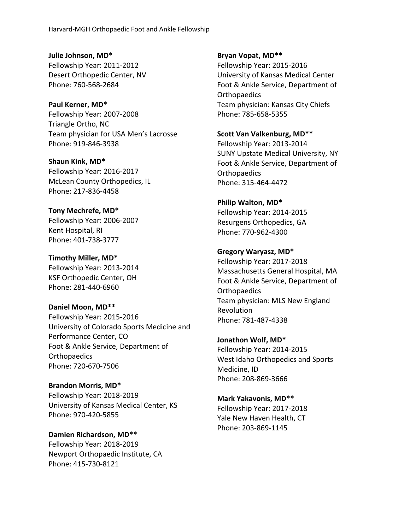**Julie Johnson, MD\*** Fellowship Year: 2011-2012 Desert Orthopedic Center, NV Phone: 760-568-2684

**Paul Kerner, MD\*** Fellowship Year: 2007-2008 Triangle Ortho, NC Team physician for USA Men's Lacrosse Phone: 919-846-3938

**Shaun Kink, MD\*** Fellowship Year: 2016-2017 McLean County Orthopedics, IL Phone: 217-836-4458

**Tony Mechrefe, MD\*** Fellowship Year: 2006-2007 Kent Hospital, RI Phone: 401-738-3777

**Timothy Miller, MD\*** Fellowship Year: 2013-2014 KSF Orthopedic Center, OH Phone: 281-440-6960

**Daniel Moon, MD\*\*** Fellowship Year: 2015-2016 University of Colorado Sports Medicine and Performance Center, CO Foot & Ankle Service, Department of **Orthopaedics** Phone: 720-670-7506

**Brandon Morris, MD\*** Fellowship Year: 2018-2019 University of Kansas Medical Center, KS Phone: 970-420-5855

**Damien Richardson, MD\*\*** Fellowship Year: 2018-2019 Newport Orthopaedic Institute, CA Phone: 415-730-8121

**Bryan Vopat, MD\*\***

Fellowship Year: 2015-2016 University of Kansas Medical Center Foot & Ankle Service, Department of Orthopaedics Team physician: Kansas City Chiefs Phone: 785-658-5355

**Scott Van Valkenburg, MD\*\*** Fellowship Year: 2013-2014 SUNY Upstate Medical University, NY Foot & Ankle Service, Department of

**Orthopaedics** Phone: 315-464-4472

**Philip Walton, MD\*** Fellowship Year: 2014-2015 Resurgens Orthopedics, GA Phone: 770-962-4300

## **Gregory Waryasz, MD\***

Fellowship Year: 2017-2018 Massachusetts General Hospital, MA Foot & Ankle Service, Department of Orthopaedics Team physician: MLS New England Revolution Phone: 781-487-4338

**Jonathon Wolf, MD\*** Fellowship Year: 2014-2015 West Idaho Orthopedics and Sports Medicine, ID Phone: 208-869-3666

**Mark Yakavonis, MD\*\*** Fellowship Year: 2017-2018 Yale New Haven Health, CT Phone: 203-869-1145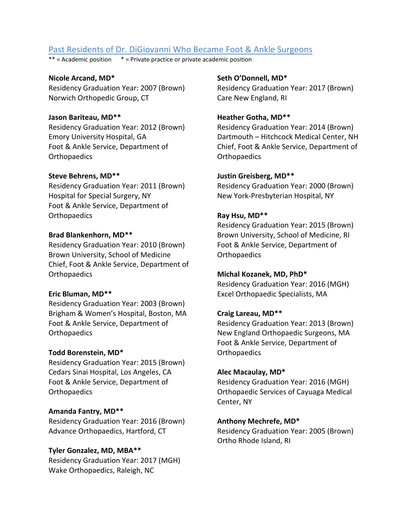## Past Residents of Dr. DiGiovanni Who Became Foot & Ankle Surgeons

 $**$  = Academic position  $*$  = Private practice or private academic position

**Nicole Arcand, MD\*** Residency Graduation Year: 2007 (Brown) Norwich Orthopedic Group, CT

#### **Jason Bariteau, MD\*\***

Residency Graduation Year: 2012 (Brown) Emory University Hospital, GA Foot & Ankle Service, Department of **Orthopaedics** 

#### **Steve Behrens, MD\*\***

Residency Graduation Year: 2011 (Brown) Hospital for Special Surgery, NY Foot & Ankle Service, Department of Orthopaedics

#### **Brad Blankenhorn, MD\*\***

Residency Graduation Year: 2010 (Brown) Brown University, School of Medicine Chief, Foot & Ankle Service, Department of **Orthopaedics** 

#### **Eric Bluman, MD\*\***

Residency Graduation Year: 2003 (Brown) Brigham & Women's Hospital, Boston, MA Foot & Ankle Service, Department of **Orthopaedics** 

#### **Todd Borenstein, MD\***

Residency Graduation Year: 2015 (Brown) Cedars Sinai Hospital, Los Angeles, CA Foot & Ankle Service, Department of **Orthopaedics** 

#### **Amanda Fantry, MD\*\***

Residency Graduation Year: 2016 (Brown) Advance Orthopaedics, Hartford, CT

#### **Tyler Gonzalez, MD, MBA\*\***

Residency Graduation Year: 2017 (MGH) Wake Orthopaedics, Raleigh, NC

**Seth O'Donnell, MD\***

Residency Graduation Year: 2017 (Brown) Care New England, RI

#### **Heather Gotha, MD\*\***

Residency Graduation Year: 2014 (Brown) Dartmouth – Hitchcock Medical Center, NH Chief, Foot & Ankle Service, Department of Orthopaedics

#### **Justin Greisberg, MD\*\***

Residency Graduation Year: 2000 (Brown) New York-Presbyterian Hospital, NY

#### **Ray Hsu, MD\*\***

Residency Graduation Year: 2015 (Brown) Brown University, School of Medicine, RI Foot & Ankle Service, Department of Orthopaedics

#### **Michal Kozanek, MD, PhD\***

Residency Graduation Year: 2016 (MGH) Excel Orthopaedic Specialists, MA

#### **Craig Lareau, MD\*\***

Residency Graduation Year: 2013 (Brown) New England Orthopaedic Surgeons, MA Foot & Ankle Service, Department of **Orthopaedics** 

#### **Alec Macaulay, MD\***

Residency Graduation Year: 2016 (MGH) Orthopaedic Services of Cayuaga Medical Center, NY

#### **Anthony Mechrefe, MD\***

Residency Graduation Year: 2005 (Brown) Ortho Rhode Island, RI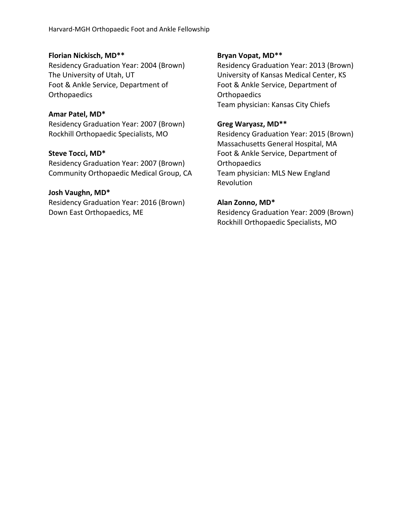#### **Florian Nickisch, MD\*\***

Residency Graduation Year: 2004 (Brown) The University of Utah, UT Foot & Ankle Service, Department of **Orthopaedics** 

#### **Amar Patel, MD\***

Residency Graduation Year: 2007 (Brown) Rockhill Orthopaedic Specialists, MO

#### **Steve Tocci, MD\***

Residency Graduation Year: 2007 (Brown) Community Orthopaedic Medical Group, CA

#### **Josh Vaughn, MD\***

Residency Graduation Year: 2016 (Brown) Down East Orthopaedics, ME

#### **Bryan Vopat, MD\*\***

Residency Graduation Year: 2013 (Brown) University of Kansas Medical Center, KS Foot & Ankle Service, Department of **Orthopaedics** Team physician: Kansas City Chiefs

#### **Greg Waryasz, MD\*\***

Residency Graduation Year: 2015 (Brown) Massachusetts General Hospital, MA Foot & Ankle Service, Department of **Orthopaedics** Team physician: MLS New England Revolution

#### **Alan Zonno, MD\***

Residency Graduation Year: 2009 (Brown) Rockhill Orthopaedic Specialists, MO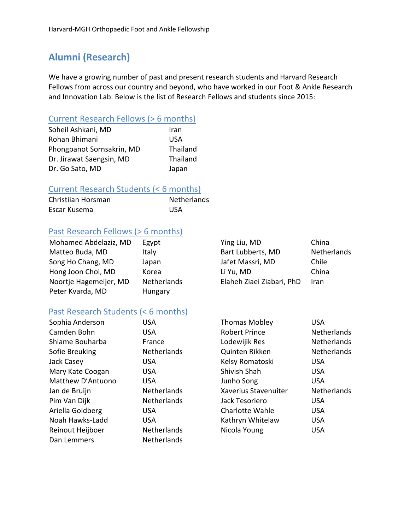# **Alumni (Research)**

We have a growing number of past and present research students and Harvard Research Fellows from across our country and beyond, who have worked in our Foot & Ankle Research and Innovation Lab. Below is the list of Research Fellows and students since 2015:

## Current Research Fellows (> 6 months)

| Soheil Ashkani, MD        | Iran     |
|---------------------------|----------|
| Rohan Bhimani             | USA      |
| Phongpanot Sornsakrin, MD | Thailand |
| Dr. Jirawat Saengsin, MD  | Thailand |
| Dr. Go Sato, MD           | Japan    |

## Current Research Students (< 6 months)

| Christiian Horsman | Netherlands |
|--------------------|-------------|
| Escar Kusema       | <b>USA</b>  |

## Past Research Fellows (> 6 months)

| Mohamed Abdelaziz, MD  | Egypt       | Ying Liu, MD              | China       |
|------------------------|-------------|---------------------------|-------------|
| Matteo Buda, MD        | Italy       | Bart Lubberts, MD         | Netherlands |
| Song Ho Chang, MD      | Japan       | Jafet Massri, MD          | Chile       |
| Hong Joon Choi, MD     | Korea       | Li Yu, MD                 | China       |
| Noortje Hagemeijer, MD | Netherlands | Elaheh Ziaei Ziabari, PhD | <b>Iran</b> |
| Peter Kvarda, MD       | Hungary     |                           |             |

## Past Research Students (< 6 months)

| Sophia Anderson   | USA                | <b>Thomas Mobley</b> | <b>USA</b>         |
|-------------------|--------------------|----------------------|--------------------|
| Camden Bohn       | <b>USA</b>         | <b>Robert Prince</b> | <b>Netherlands</b> |
| Shiame Bouharba   | France             | Lodewijik Res        | <b>Netherlands</b> |
| Sofie Breuking    | <b>Netherlands</b> | Quinten Rikken       | <b>Netherlands</b> |
| Jack Casey        | USA                | Kelsy Romatoski      | <b>USA</b>         |
| Mary Kate Coogan  | <b>USA</b>         | Shivish Shah         | <b>USA</b>         |
| Matthew D'Antuono | <b>USA</b>         | Junho Song           | <b>USA</b>         |
| Jan de Bruijn     | Netherlands        | Xaverius Stavenuiter | <b>Netherlands</b> |
| Pim Van Dijk      | <b>Netherlands</b> | Jack Tesoriero       | <b>USA</b>         |
| Ariella Goldberg  | <b>USA</b>         | Charlotte Wahle      | <b>USA</b>         |
| Noah Hawks-Ladd   | <b>USA</b>         | Kathryn Whitelaw     | <b>USA</b>         |
| Reinout Heijboer  | <b>Netherlands</b> | Nicola Young         | <b>USA</b>         |
| Dan Lemmers       | <b>Netherlands</b> |                      |                    |